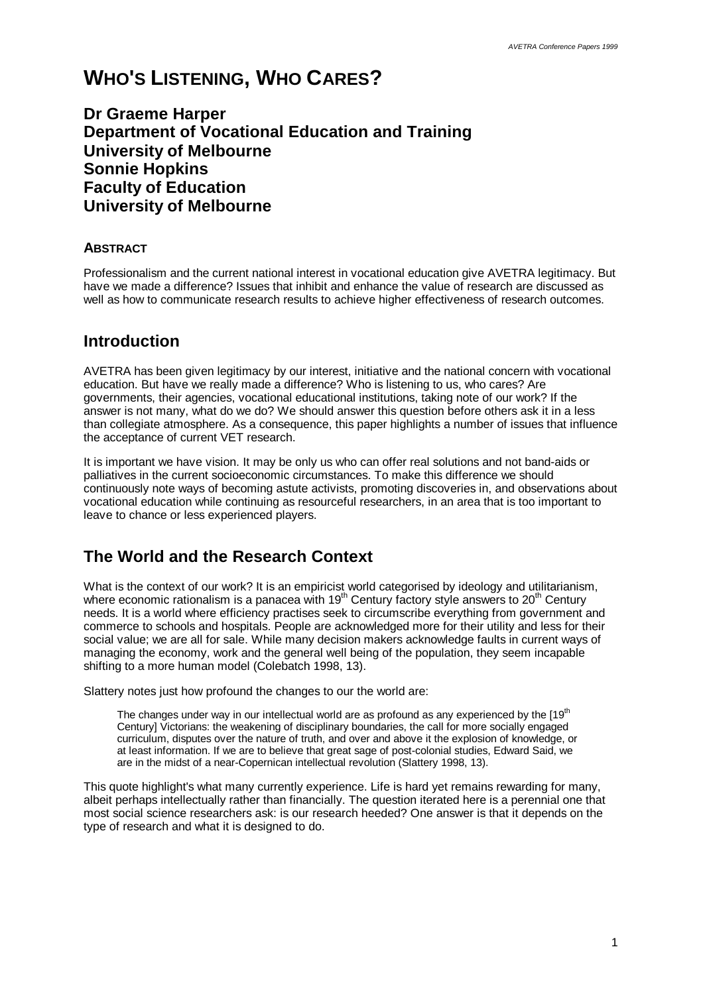# **WHO'S LISTENING, WHO CARES?**

**Dr Graeme Harper Department of Vocational Education and Training University of Melbourne Sonnie Hopkins Faculty of Education University of Melbourne**

### **ABSTRACT**

Professionalism and the current national interest in vocational education give AVETRA legitimacy. But have we made a difference? Issues that inhibit and enhance the value of research are discussed as well as how to communicate research results to achieve higher effectiveness of research outcomes.

### **Introduction**

AVETRA has been given legitimacy by our interest, initiative and the national concern with vocational education. But have we really made a difference? Who is listening to us, who cares? Are governments, their agencies, vocational educational institutions, taking note of our work? If the answer is not many, what do we do? We should answer this question before others ask it in a less than collegiate atmosphere. As a consequence, this paper highlights a number of issues that influence the acceptance of current VET research.

It is important we have vision. It may be only us who can offer real solutions and not band-aids or palliatives in the current socioeconomic circumstances. To make this difference we should continuously note ways of becoming astute activists, promoting discoveries in, and observations about vocational education while continuing as resourceful researchers, in an area that is too important to leave to chance or less experienced players.

# **The World and the Research Context**

What is the context of our work? It is an empiricist world categorised by ideology and utilitarianism, where economic rationalism is a panacea with  $19<sup>th</sup>$  Century factory style answers to  $20<sup>th</sup>$  Century needs. It is a world where efficiency practises seek to circumscribe everything from government and commerce to schools and hospitals. People are acknowledged more for their utility and less for their social value; we are all for sale. While many decision makers acknowledge faults in current ways of managing the economy, work and the general well being of the population, they seem incapable shifting to a more human model (Colebatch 1998, 13).

Slattery notes just how profound the changes to our the world are:

The changes under way in our intellectual world are as profound as any experienced by the [19<sup>th</sup> Century] Victorians: the weakening of disciplinary boundaries, the call for more socially engaged curriculum, disputes over the nature of truth, and over and above it the explosion of knowledge, or at least information. If we are to believe that great sage of post-colonial studies, Edward Said, we are in the midst of a near-Copernican intellectual revolution (Slattery 1998, 13).

This quote highlight's what many currently experience. Life is hard yet remains rewarding for many, albeit perhaps intellectually rather than financially. The question iterated here is a perennial one that most social science researchers ask: is our research heeded? One answer is that it depends on the type of research and what it is designed to do.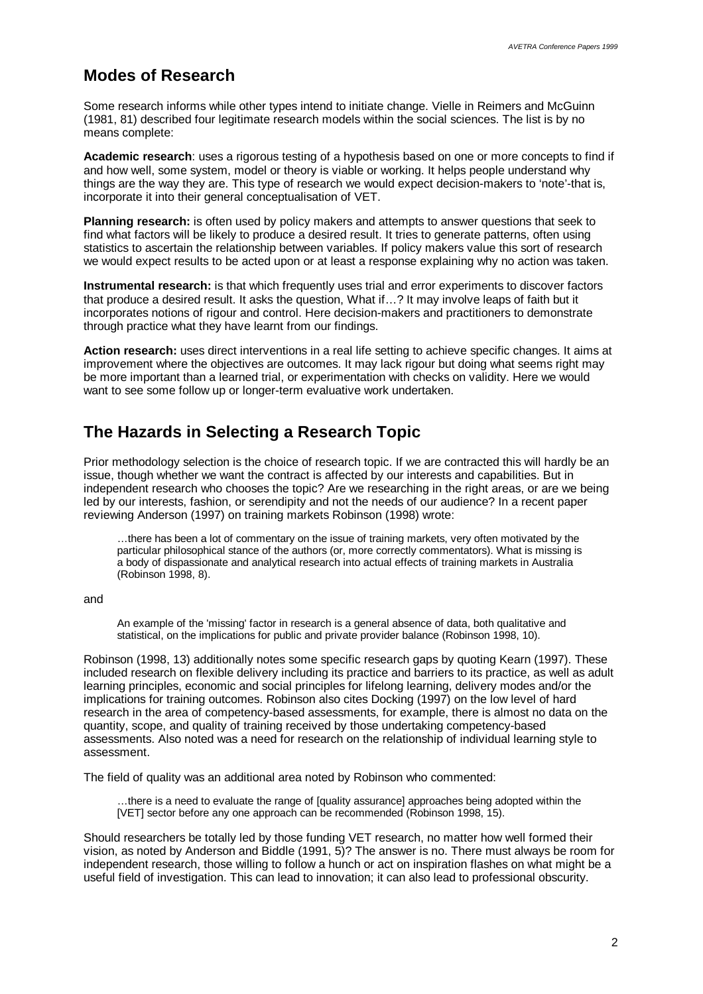### **Modes of Research**

Some research informs while other types intend to initiate change. Vielle in Reimers and McGuinn (1981, 81) described four legitimate research models within the social sciences. The list is by no means complete:

**Academic research**: uses a rigorous testing of a hypothesis based on one or more concepts to find if and how well, some system, model or theory is viable or working. It helps people understand why things are the way they are. This type of research we would expect decision-makers to 'note'-that is, incorporate it into their general conceptualisation of VET.

**Planning research:** is often used by policy makers and attempts to answer questions that seek to find what factors will be likely to produce a desired result. It tries to generate patterns, often using statistics to ascertain the relationship between variables. If policy makers value this sort of research we would expect results to be acted upon or at least a response explaining why no action was taken.

**Instrumental research:** is that which frequently uses trial and error experiments to discover factors that produce a desired result. It asks the question, What if… ? It may involve leaps of faith but it incorporates notions of rigour and control. Here decision-makers and practitioners to demonstrate through practice what they have learnt from our findings.

**Action research:** uses direct interventions in a real life setting to achieve specific changes. It aims at improvement where the objectives are outcomes. It may lack rigour but doing what seems right may be more important than a learned trial, or experimentation with checks on validity. Here we would want to see some follow up or longer-term evaluative work undertaken.

## **The Hazards in Selecting a Research Topic**

Prior methodology selection is the choice of research topic. If we are contracted this will hardly be an issue, though whether we want the contract is affected by our interests and capabilities. But in independent research who chooses the topic? Are we researching in the right areas, or are we being led by our interests, fashion, or serendipity and not the needs of our audience? In a recent paper reviewing Anderson (1997) on training markets Robinson (1998) wrote:

… there has been a lot of commentary on the issue of training markets, very often motivated by the particular philosophical stance of the authors (or, more correctly commentators). What is missing is a body of dispassionate and analytical research into actual effects of training markets in Australia (Robinson 1998, 8).

#### and

An example of the 'missing' factor in research is a general absence of data, both qualitative and statistical, on the implications for public and private provider balance (Robinson 1998, 10).

Robinson (1998, 13) additionally notes some specific research gaps by quoting Kearn (1997). These included research on flexible delivery including its practice and barriers to its practice, as well as adult learning principles, economic and social principles for lifelong learning, delivery modes and/or the implications for training outcomes. Robinson also cites Docking (1997) on the low level of hard research in the area of competency-based assessments, for example, there is almost no data on the quantity, scope, and quality of training received by those undertaking competency-based assessments. Also noted was a need for research on the relationship of individual learning style to assessment.

The field of quality was an additional area noted by Robinson who commented:

… there is a need to evaluate the range of [quality assurance] approaches being adopted within the [VET] sector before any one approach can be recommended (Robinson 1998, 15).

Should researchers be totally led by those funding VET research, no matter how well formed their vision, as noted by Anderson and Biddle (1991, 5)? The answer is no. There must always be room for independent research, those willing to follow a hunch or act on inspiration flashes on what might be a useful field of investigation. This can lead to innovation; it can also lead to professional obscurity.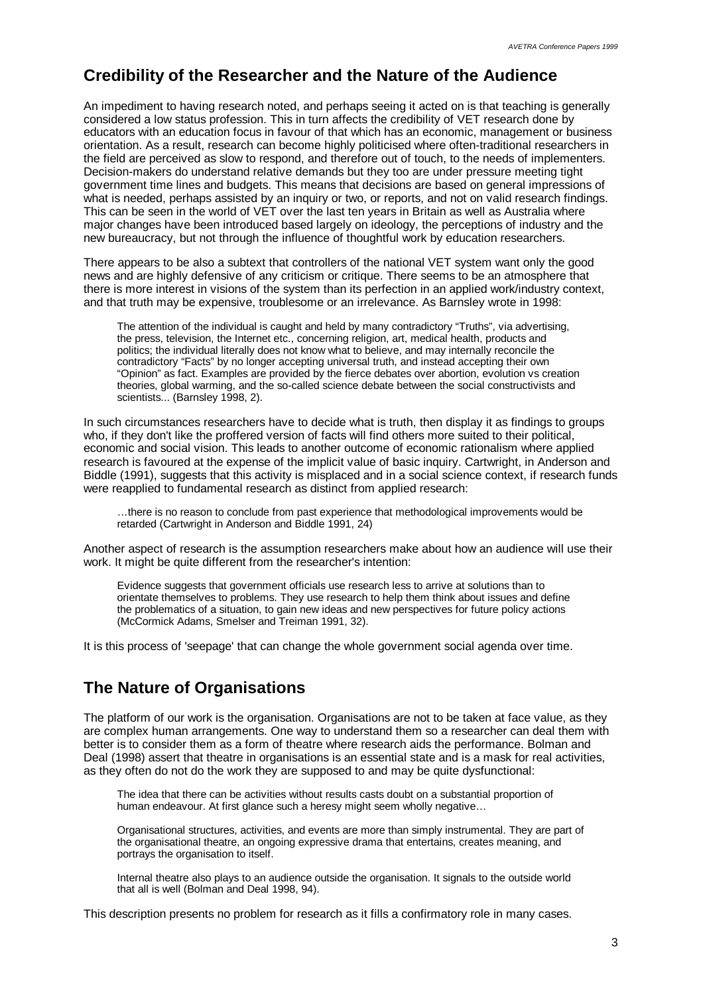### **Credibility of the Researcher and the Nature of the Audience**

An impediment to having research noted, and perhaps seeing it acted on is that teaching is generally considered a low status profession. This in turn affects the credibility of VET research done by educators with an education focus in favour of that which has an economic, management or business orientation. As a result, research can become highly politicised where often-traditional researchers in the field are perceived as slow to respond, and therefore out of touch, to the needs of implementers. Decision-makers do understand relative demands but they too are under pressure meeting tight government time lines and budgets. This means that decisions are based on general impressions of what is needed, perhaps assisted by an inquiry or two, or reports, and not on valid research findings. This can be seen in the world of VET over the last ten years in Britain as well as Australia where major changes have been introduced based largely on ideology, the perceptions of industry and the new bureaucracy, but not through the influence of thoughtful work by education researchers.

There appears to be also a subtext that controllers of the national VET system want only the good news and are highly defensive of any criticism or critique. There seems to be an atmosphere that there is more interest in visions of the system than its perfection in an applied work/industry context, and that truth may be expensive, troublesome or an irrelevance. As Barnsley wrote in 1998:

The attention of the individual is caught and held by many contradictory "Truths", via advertising, the press, television, the Internet etc., concerning religion, art, medical health, products and politics; the individual literally does not know what to believe, and may internally reconcile the contradictory "Facts" by no longer accepting universal truth, and instead accepting their own "Opinion" as fact. Examples are provided by the fierce debates over abortion, evolution vs creation theories, global warming, and the so-called science debate between the social constructivists and scientists... (Barnsley 1998, 2).

In such circumstances researchers have to decide what is truth, then display it as findings to groups who, if they don't like the proffered version of facts will find others more suited to their political, economic and social vision. This leads to another outcome of economic rationalism where applied research is favoured at the expense of the implicit value of basic inquiry. Cartwright, in Anderson and Biddle (1991), suggests that this activity is misplaced and in a social science context, if research funds were reapplied to fundamental research as distinct from applied research:

… there is no reason to conclude from past experience that methodological improvements would be retarded (Cartwright in Anderson and Biddle 1991, 24)

Another aspect of research is the assumption researchers make about how an audience will use their work. It might be quite different from the researcher's intention:

Evidence suggests that government officials use research less to arrive at solutions than to orientate themselves to problems. They use research to help them think about issues and define the problematics of a situation, to gain new ideas and new perspectives for future policy actions (McCormick Adams, Smelser and Treiman 1991, 32).

It is this process of 'seepage' that can change the whole government social agenda over time.

### **The Nature of Organisations**

The platform of our work is the organisation. Organisations are not to be taken at face value, as they are complex human arrangements. One way to understand them so a researcher can deal them with better is to consider them as a form of theatre where research aids the performance. Bolman and Deal (1998) assert that theatre in organisations is an essential state and is a mask for real activities, as they often do not do the work they are supposed to and may be quite dysfunctional:

The idea that there can be activities without results casts doubt on a substantial proportion of human endeavour. At first glance such a heresy might seem wholly negative…

Organisational structures, activities, and events are more than simply instrumental. They are part of the organisational theatre, an ongoing expressive drama that entertains, creates meaning, and portrays the organisation to itself.

Internal theatre also plays to an audience outside the organisation. It signals to the outside world that all is well (Bolman and Deal 1998, 94).

This description presents no problem for research as it fills a confirmatory role in many cases.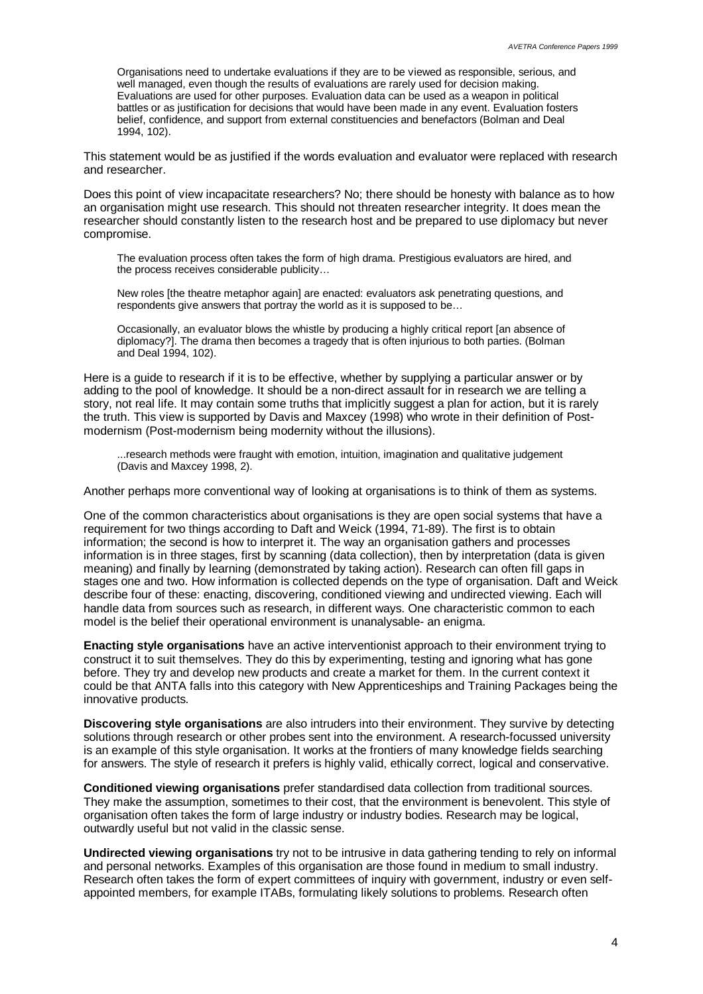Organisations need to undertake evaluations if they are to be viewed as responsible, serious, and well managed, even though the results of evaluations are rarely used for decision making. Evaluations are used for other purposes. Evaluation data can be used as a weapon in political battles or as justification for decisions that would have been made in any event. Evaluation fosters belief, confidence, and support from external constituencies and benefactors (Bolman and Deal 1994, 102).

This statement would be as justified if the words evaluation and evaluator were replaced with research and researcher.

Does this point of view incapacitate researchers? No; there should be honesty with balance as to how an organisation might use research. This should not threaten researcher integrity. It does mean the researcher should constantly listen to the research host and be prepared to use diplomacy but never compromise.

The evaluation process often takes the form of high drama. Prestigious evaluators are hired, and the process receives considerable publicity…

New roles [the theatre metaphor again] are enacted: evaluators ask penetrating questions, and respondents give answers that portray the world as it is supposed to be…

Occasionally, an evaluator blows the whistle by producing a highly critical report [an absence of diplomacy?]. The drama then becomes a tragedy that is often injurious to both parties. (Bolman and Deal 1994, 102).

Here is a guide to research if it is to be effective, whether by supplying a particular answer or by adding to the pool of knowledge. It should be a non-direct assault for in research we are telling a story, not real life. It may contain some truths that implicitly suggest a plan for action, but it is rarely the truth. This view is supported by Davis and Maxcey (1998) who wrote in their definition of Postmodernism (Post-modernism being modernity without the illusions).

...research methods were fraught with emotion, intuition, imagination and qualitative judgement (Davis and Maxcey 1998, 2).

Another perhaps more conventional way of looking at organisations is to think of them as systems.

One of the common characteristics about organisations is they are open social systems that have a requirement for two things according to Daft and Weick (1994, 71-89). The first is to obtain information; the second is how to interpret it. The way an organisation gathers and processes information is in three stages, first by scanning (data collection), then by interpretation (data is given meaning) and finally by learning (demonstrated by taking action). Research can often fill gaps in stages one and two. How information is collected depends on the type of organisation. Daft and Weick describe four of these: enacting, discovering, conditioned viewing and undirected viewing. Each will handle data from sources such as research, in different ways. One characteristic common to each model is the belief their operational environment is unanalysable- an enigma.

**Enacting style organisations** have an active interventionist approach to their environment trying to construct it to suit themselves. They do this by experimenting, testing and ignoring what has gone before. They try and develop new products and create a market for them. In the current context it could be that ANTA falls into this category with New Apprenticeships and Training Packages being the innovative products.

**Discovering style organisations** are also intruders into their environment. They survive by detecting solutions through research or other probes sent into the environment. A research-focussed university is an example of this style organisation. It works at the frontiers of many knowledge fields searching for answers. The style of research it prefers is highly valid, ethically correct, logical and conservative.

**Conditioned viewing organisations** prefer standardised data collection from traditional sources. They make the assumption, sometimes to their cost, that the environment is benevolent. This style of organisation often takes the form of large industry or industry bodies. Research may be logical, outwardly useful but not valid in the classic sense.

**Undirected viewing organisations** try not to be intrusive in data gathering tending to rely on informal and personal networks. Examples of this organisation are those found in medium to small industry. Research often takes the form of expert committees of inquiry with government, industry or even selfappointed members, for example ITABs, formulating likely solutions to problems. Research often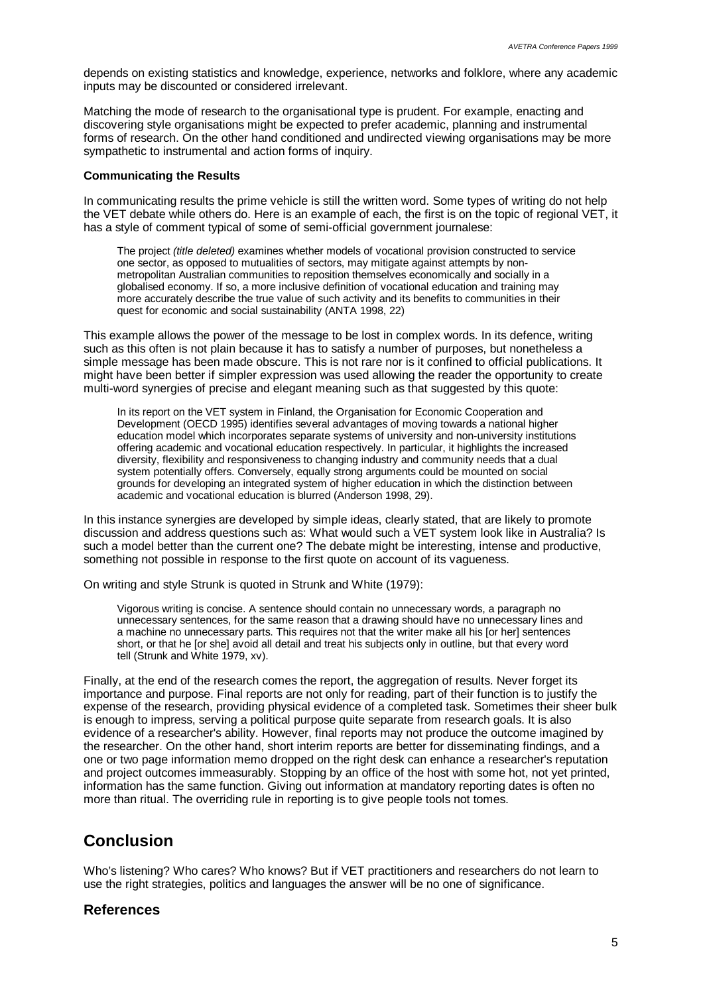depends on existing statistics and knowledge, experience, networks and folklore, where any academic inputs may be discounted or considered irrelevant.

Matching the mode of research to the organisational type is prudent. For example, enacting and discovering style organisations might be expected to prefer academic, planning and instrumental forms of research. On the other hand conditioned and undirected viewing organisations may be more sympathetic to instrumental and action forms of inquiry.

#### **Communicating the Results**

In communicating results the prime vehicle is still the written word. Some types of writing do not help the VET debate while others do. Here is an example of each, the first is on the topic of regional VET, it has a style of comment typical of some of semi-official government journalese:

The project *(title deleted)* examines whether models of vocational provision constructed to service one sector, as opposed to mutualities of sectors, may mitigate against attempts by nonmetropolitan Australian communities to reposition themselves economically and socially in a globalised economy. If so, a more inclusive definition of vocational education and training may more accurately describe the true value of such activity and its benefits to communities in their quest for economic and social sustainability (ANTA 1998, 22)

This example allows the power of the message to be lost in complex words. In its defence, writing such as this often is not plain because it has to satisfy a number of purposes, but nonetheless a simple message has been made obscure. This is not rare nor is it confined to official publications. It might have been better if simpler expression was used allowing the reader the opportunity to create multi-word synergies of precise and elegant meaning such as that suggested by this quote:

In its report on the VET system in Finland, the Organisation for Economic Cooperation and Development (OECD 1995) identifies several advantages of moving towards a national higher education model which incorporates separate systems of university and non-university institutions offering academic and vocational education respectively. In particular, it highlights the increased diversity, flexibility and responsiveness to changing industry and community needs that a dual system potentially offers. Conversely, equally strong arguments could be mounted on social grounds for developing an integrated system of higher education in which the distinction between academic and vocational education is blurred (Anderson 1998, 29).

In this instance synergies are developed by simple ideas, clearly stated, that are likely to promote discussion and address questions such as: What would such a VET system look like in Australia? Is such a model better than the current one? The debate might be interesting, intense and productive, something not possible in response to the first quote on account of its vagueness.

On writing and style Strunk is quoted in Strunk and White (1979):

Vigorous writing is concise. A sentence should contain no unnecessary words, a paragraph no unnecessary sentences, for the same reason that a drawing should have no unnecessary lines and a machine no unnecessary parts. This requires not that the writer make all his [or her] sentences short, or that he [or she] avoid all detail and treat his subjects only in outline, but that every word tell (Strunk and White 1979, xv).

Finally, at the end of the research comes the report, the aggregation of results. Never forget its importance and purpose. Final reports are not only for reading, part of their function is to justify the expense of the research, providing physical evidence of a completed task. Sometimes their sheer bulk is enough to impress, serving a political purpose quite separate from research goals. It is also evidence of a researcher's ability. However, final reports may not produce the outcome imagined by the researcher. On the other hand, short interim reports are better for disseminating findings, and a one or two page information memo dropped on the right desk can enhance a researcher's reputation and project outcomes immeasurably. Stopping by an office of the host with some hot, not yet printed, information has the same function. Giving out information at mandatory reporting dates is often no more than ritual. The overriding rule in reporting is to give people tools not tomes.

### **Conclusion**

Who's listening? Who cares? Who knows? But if VET practitioners and researchers do not learn to use the right strategies, politics and languages the answer will be no one of significance.

### **References**